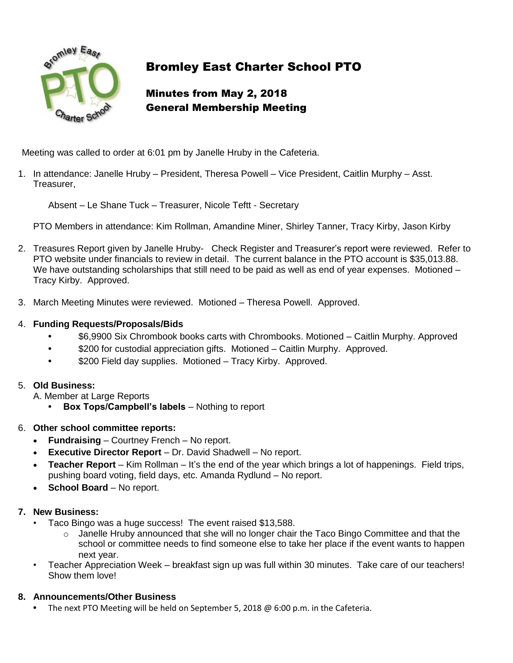

# Bromley East Charter School PTO

# Minutes from May 2, 2018 General Membership Meeting

Meeting was called to order at 6:01 pm by Janelle Hruby in the Cafeteria.

1. In attendance: Janelle Hruby – President, Theresa Powell – Vice President, Caitlin Murphy – Asst. Treasurer,

Absent – Le Shane Tuck – Treasurer, Nicole Teftt - Secretary

PTO Members in attendance: Kim Rollman, Amandine Miner, Shirley Tanner, Tracy Kirby, Jason Kirby

- 2. Treasures Report given by Janelle Hruby- Check Register and Treasurer's report were reviewed. Refer to PTO website under financials to review in detail. The current balance in the PTO account is \$35,013.88. We have outstanding scholarships that still need to be paid as well as end of year expenses. Motioned – Tracy Kirby. Approved.
- 3. March Meeting Minutes were reviewed. Motioned Theresa Powell. Approved.

### 4. **Funding Requests/Proposals/Bids**

- **•** \$6,9900 Six Chrombook books carts with Chrombooks. Motioned Caitlin Murphy. Approved
- **•** \$200 for custodial appreciation gifts. Motioned Caitlin Murphy. Approved.
- **•** \$200 Field day supplies. Motioned Tracy Kirby. Approved.

## 5. **Old Business:**

- A. Member at Large Reports
	- **• Box Tops/Campbell's labels** Nothing to report
- 6. **Other school committee reports:**
	- **Fundraising**  Courtney French No report.
	- **Executive Director Report** Dr. David Shadwell No report.
	- **Teacher Report**  Kim Rollman It's the end of the year which brings a lot of happenings. Field trips, pushing board voting, field days, etc. Amanda Rydlund – No report.
	- **School Board** No report.

#### **7. New Business:**

- Taco Bingo was a huge success! The event raised \$13,588.
	- $\circ$  Janelle Hruby announced that she will no longer chair the Taco Bingo Committee and that the school or committee needs to find someone else to take her place if the event wants to happen next year.
- Teacher Appreciation Week breakfast sign up was full within 30 minutes. Take care of our teachers! Show them love!

#### **8. Announcements/Other Business**

**•** The next PTO Meeting will be held on September 5, 2018 @ 6:00 p.m. in the Cafeteria.